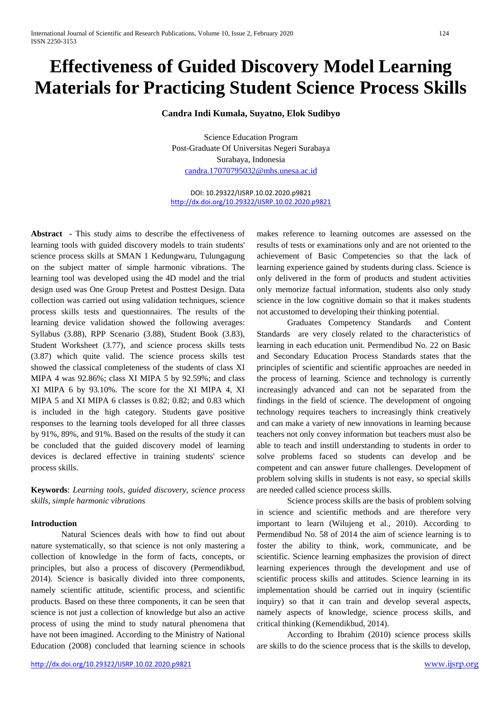# **Effectiveness of Guided Discovery Model Learning Materials for Practicing Student Science Process Skills**

**Candra Indi Kumala, Suyatno, Elok Sudibyo**

Science Education Program Post-Graduate Of Universitas Negeri Surabaya Surabaya, Indonesia [candra.17070795032@mhs.unesa.ac.id](mailto:candra.17070795032@mhs.unesa.ac.id)

DOI: 10.29322/IJSRP.10.02.2020.p9821 <http://dx.doi.org/10.29322/IJSRP.10.02.2020.p9821>

**Abstract -** This study aims to describe the effectiveness of learning tools with guided discovery models to train students' science process skills at SMAN 1 Kedungwaru, Tulungagung on the subject matter of simple harmonic vibrations. The learning tool was developed using the 4D model and the trial design used was One Group Pretest and Posttest Design. Data collection was carried out using validation techniques, science process skills tests and questionnaires. The results of the learning device validation showed the following averages: Syllabus (3.88), RPP Scenario (3.88), Student Book (3.83), Student Worksheet (3.77), and science process skills tests (3.87) which quite valid. The science process skills test showed the classical completeness of the students of class XI MIPA 4 was 92.86%; class XI MIPA 5 by 92.59%; and class XI MIPA 6 by 93.10%. The score for the XI MIPA 4, XI MIPA 5 and XI MIPA 6 classes is 0.82; 0.82; and 0.83 which is included in the high category. Students gave positive responses to the learning tools developed for all three classes by 91%, 89%, and 91%. Based on the results of the study it can be concluded that the guided discovery model of learning devices is declared effective in training students' science process skills.

**Keywords**: *Learning tools, guided discovery, science process skills, simple harmonic vibrations*

## **Introduction**

Natural Sciences deals with how to find out about nature systematically, so that science is not only mastering a collection of knowledge in the form of facts, concepts, or principles, but also a process of discovery (Permendikbud, 2014). Science is basically divided into three components, namely scientific attitude, scientific process, and scientific products. Based on these three components, it can be seen that science is not just a collection of knowledge but also an active process of using the mind to study natural phenomena that have not been imagined. According to the Ministry of National Education (2008) concluded that learning science in schools makes reference to learning outcomes are assessed on the results of tests or examinations only and are not oriented to the achievement of Basic Competencies so that the lack of learning experience gained by students during class. Science is only delivered in the form of products and student activities only memorize factual information, students also only study science in the low cognitive domain so that it makes students not accustomed to developing their thinking potential.

Graduates Competency Standards and Content Standards are very closely related to the characteristics of learning in each education unit. Permendibud No. 22 on Basic and Secondary Education Process Standards states that the principles of scientific and scientific approaches are needed in the process of learning. Science and technology is currently increasingly advanced and can not be separated from the findings in the field of science. The development of ongoing technology requires teachers to increasingly think creatively and can make a variety of new innovations in learning because teachers not only convey information but teachers must also be able to teach and instill understanding to students in order to solve problems faced so students can develop and be competent and can answer future challenges. Development of problem solving skills in students is not easy, so special skills are needed called science process skills.

Science process skills are the basis of problem solving in science and scientific methods and are therefore very important to learn (Wilujeng et al., 2010). According to Permendibud No. 58 of 2014 the aim of science learning is to foster the ability to think, work, communicate, and be scientific. Science learning emphasizes the provision of direct learning experiences through the development and use of scientific process skills and attitudes. Science learning in its implementation should be carried out in inquiry (scientific inquiry) so that it can train and develop several aspects, namely aspects of knowledge, science process skills, and critical thinking (Kemendikbud, 2014).

According to Ibrahim (2010) science process skills are skills to do the science process that is the skills to develop,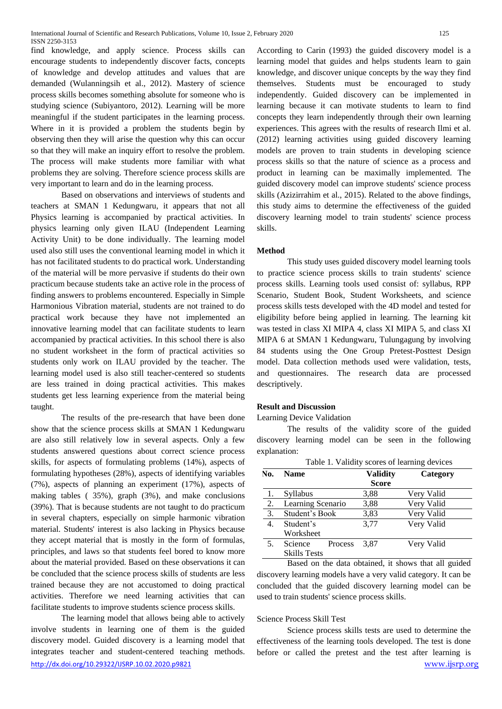find knowledge, and apply science. Process skills can encourage students to independently discover facts, concepts of knowledge and develop attitudes and values that are demanded (Wulanningsih et al., 2012). Mastery of science process skills becomes something absolute for someone who is studying science (Subiyantoro, 2012). Learning will be more meaningful if the student participates in the learning process. Where in it is provided a problem the students begin by observing then they will arise the question why this can occur so that they will make an inquiry effort to resolve the problem. The process will make students more familiar with what problems they are solving. Therefore science process skills are very important to learn and do in the learning process.

Based on observations and interviews of students and teachers at SMAN 1 Kedungwaru, it appears that not all Physics learning is accompanied by practical activities. In physics learning only given ILAU (Independent Learning Activity Unit) to be done individually. The learning model used also still uses the conventional learning model in which it has not facilitated students to do practical work. Understanding of the material will be more pervasive if students do their own practicum because students take an active role in the process of finding answers to problems encountered. Especially in Simple Harmonious Vibration material, students are not trained to do practical work because they have not implemented an innovative learning model that can facilitate students to learn accompanied by practical activities. In this school there is also no student worksheet in the form of practical activities so students only work on ILAU provided by the teacher. The learning model used is also still teacher-centered so students are less trained in doing practical activities. This makes students get less learning experience from the material being taught.

The results of the pre-research that have been done show that the science process skills at SMAN 1 Kedungwaru are also still relatively low in several aspects. Only a few students answered questions about correct science process skills, for aspects of formulating problems (14%), aspects of formulating hypotheses (28%), aspects of identifying variables (7%), aspects of planning an experiment (17%), aspects of making tables ( 35%), graph (3%), and make conclusions (39%). That is because students are not taught to do practicum in several chapters, especially on simple harmonic vibration material. Students' interest is also lacking in Physics because they accept material that is mostly in the form of formulas, principles, and laws so that students feel bored to know more about the material provided. Based on these observations it can be concluded that the science process skills of students are less trained because they are not accustomed to doing practical activities. Therefore we need learning activities that can facilitate students to improve students science process skills.

<http://dx.doi.org/10.29322/IJSRP.10.02.2020.p9821> [www.ijsrp.org](http://ijsrp.org/) The learning model that allows being able to actively involve students in learning one of them is the guided discovery model. Guided discovery is a learning model that integrates teacher and student-centered teaching methods.

According to Carin (1993) the guided discovery model is a learning model that guides and helps students learn to gain knowledge, and discover unique concepts by the way they find themselves. Students must be encouraged to study independently. Guided discovery can be implemented in learning because it can motivate students to learn to find concepts they learn independently through their own learning experiences. This agrees with the results of research Ilmi et al. (2012) learning activities using guided discovery learning models are proven to train students in developing science process skills so that the nature of science as a process and product in learning can be maximally implemented. The guided discovery model can improve students' science process skills (Azizirrahim et al., 2015). Related to the above findings, this study aims to determine the effectiveness of the guided discovery learning model to train students' science process skills.

#### **Method**

This study uses guided discovery model learning tools to practice science process skills to train students' science process skills. Learning tools used consist of: syllabus, RPP Scenario, Student Book, Student Worksheets, and science process skills tests developed with the 4D model and tested for eligibility before being applied in learning. The learning kit was tested in class XI MIPA 4, class XI MIPA 5, and class XI MIPA 6 at SMAN 1 Kedungwaru, Tulungagung by involving 84 students using the One Group Pretest-Posttest Design model. Data collection methods used were validation, tests, and questionnaires. The research data are processed descriptively.

#### **Result and Discussion**

Learning Device Validation

The results of the validity score of the guided discovery learning model can be seen in the following explanation:

|     | Table 1. Validity scores of learning devices |                 |            |  |
|-----|----------------------------------------------|-----------------|------------|--|
| No. | <b>Name</b>                                  | <b>Validity</b> | Category   |  |
|     |                                              | <b>Score</b>    |            |  |
| -1. | Syllabus                                     | 3,88            | Very Valid |  |
| 2.  | Learning Scenario                            | 3,88            | Very Valid |  |
| 3.  | Student's Book                               | 3,83            | Very Valid |  |
| 4.  | Student's                                    | 3,77            | Very Valid |  |
|     | Worksheet                                    |                 |            |  |
| 5.  | Science<br>Process                           | 3.87            | Very Valid |  |
|     | <b>Skills Tests</b>                          |                 |            |  |

Based on the data obtained, it shows that all guided discovery learning models have a very valid category. It can be concluded that the guided discovery learning model can be used to train students' science process skills.

#### Science Process Skill Test

Science process skills tests are used to determine the effectiveness of the learning tools developed. The test is done before or called the pretest and the test after learning is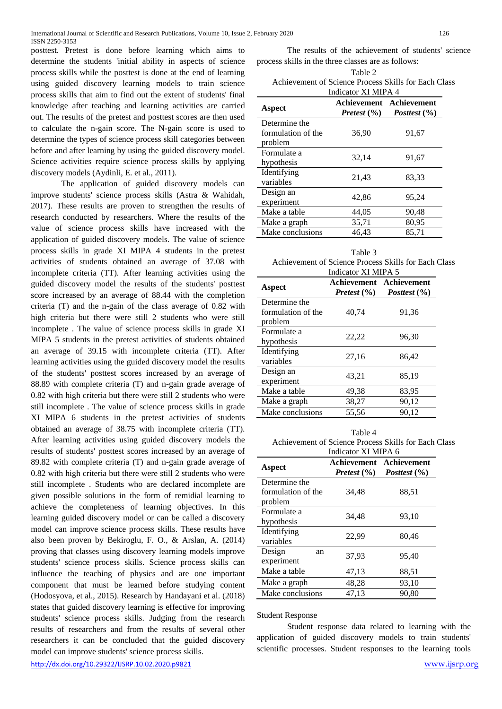posttest. Pretest is done before learning which aims to determine the students 'initial ability in aspects of science process skills while the posttest is done at the end of learning using guided discovery learning models to train science process skills that aim to find out the extent of students' final knowledge after teaching and learning activities are carried out. The results of the pretest and posttest scores are then used to calculate the n-gain score. The N-gain score is used to determine the types of science process skill categories between before and after learning by using the guided discovery model. Science activities require science process skills by applying discovery models (Aydinli, E. et al., 2011).

The application of guided discovery models can improve students' science process skills (Astra & Wahidah, 2017). These results are proven to strengthen the results of research conducted by researchers. Where the results of the value of science process skills have increased with the application of guided discovery models. The value of science process skills in grade XI MIPA 4 students in the pretest activities of students obtained an average of 37.08 with incomplete criteria (TT). After learning activities using the guided discovery model the results of the students' posttest score increased by an average of 88.44 with the completion criteria (T) and the n-gain of the class average of 0.82 with high criteria but there were still 2 students who were still incomplete . The value of science process skills in grade XI MIPA 5 students in the pretest activities of students obtained an average of 39.15 with incomplete criteria (TT). After learning activities using the guided discovery model the results of the students' posttest scores increased by an average of 88.89 with complete criteria (T) and n-gain grade average of 0.82 with high criteria but there were still 2 students who were still incomplete . The value of science process skills in grade XI MIPA 6 students in the pretest activities of students obtained an average of 38.75 with incomplete criteria (TT). After learning activities using guided discovery models the results of students' posttest scores increased by an average of 89.82 with complete criteria (T) and n-gain grade average of 0.82 with high criteria but there were still 2 students who were still incomplete . Students who are declared incomplete are given possible solutions in the form of remidial learning to achieve the completeness of learning objectives. In this learning guided discovery model or can be called a discovery model can improve science process skills. These results have also been proven by Bekiroglu, F. O., & Arslan, A. (2014) proving that classes using discovery learning models improve students' science process skills. Science process skills can influence the teaching of physics and are one important component that must be learned before studying content (Hodosyova, et al., 2015). Research by Handayani et al. (2018) states that guided discovery learning is effective for improving students' science process skills. Judging from the research results of researchers and from the results of several other researchers it can be concluded that the guided discovery model can improve students' science process skills.

The results of the achievement of students' science process skills in the three classes are as follows:

Table 2 Achievement of Science Process Skills for Each Class

|                    | Indicator XI MIPA 4 |                                             |  |
|--------------------|---------------------|---------------------------------------------|--|
| Aspect             | Pretest $(\% )$     | Achievement Achievement<br>Posttest $(\% )$ |  |
| Determine the      | 36,90               | 91,67                                       |  |
| formulation of the |                     |                                             |  |
| problem            |                     |                                             |  |
| Formulate a        | 32,14               | 91,67                                       |  |
| hypothesis         |                     |                                             |  |
| Identifying        | 21,43               | 83,33                                       |  |
| variables          |                     |                                             |  |
| Design an          | 42,86               | 95,24                                       |  |
| experiment         |                     |                                             |  |
| Make a table       | 44,05               | 90,48                                       |  |
| Make a graph       | 35,71               | 80,95                                       |  |
| Make conclusions   | 46,43               | 85,71                                       |  |

Table 3 Achievement of Science Process Skills for Each Class Indicator XI MIPA 5

| Aspect                                         | Pretest $(\% )$ | Achievement Achievement<br>Posttest (%) |
|------------------------------------------------|-----------------|-----------------------------------------|
| Determine the<br>formulation of the<br>problem | 40,74           | 91,36                                   |
| Formulate a<br>hypothesis                      | 22,22           | 96,30                                   |
| Identifying<br>variables                       | 27,16           | 86,42                                   |
| Design an<br>experiment                        | 43,21           | 85,19                                   |
| Make a table                                   | 49,38           | 83,95                                   |
| Make a graph                                   | 38,27           | 90,12                                   |
| Make conclusions                               | 55,56           | 90.12                                   |

Table 4 Achievement of Science Process Skills for Each Class Indicator XI MIPA 6

|                    | Indicator AI MIPA o |                                             |  |
|--------------------|---------------------|---------------------------------------------|--|
| Aspect             | Pretest $(\% )$     | Achievement Achievement<br>Posttest $(\% )$ |  |
| Determine the      |                     |                                             |  |
| formulation of the | 34,48               | 88,51                                       |  |
| problem            |                     |                                             |  |
| Formulate a        | 34.48               | 93,10                                       |  |
| hypothesis         |                     |                                             |  |
| Identifying        | 22,99               | 80,46                                       |  |
| variables          |                     |                                             |  |
| Design<br>an       | 37,93               | 95.40                                       |  |
| experiment         |                     |                                             |  |
| Make a table       | 47,13               | 88.51                                       |  |
| Make a graph       | 48,28               | 93,10                                       |  |
| Make conclusions   | 47,13               | 90,80                                       |  |

Student Response

Student response data related to learning with the application of guided discovery models to train students' scientific processes. Student responses to the learning tools